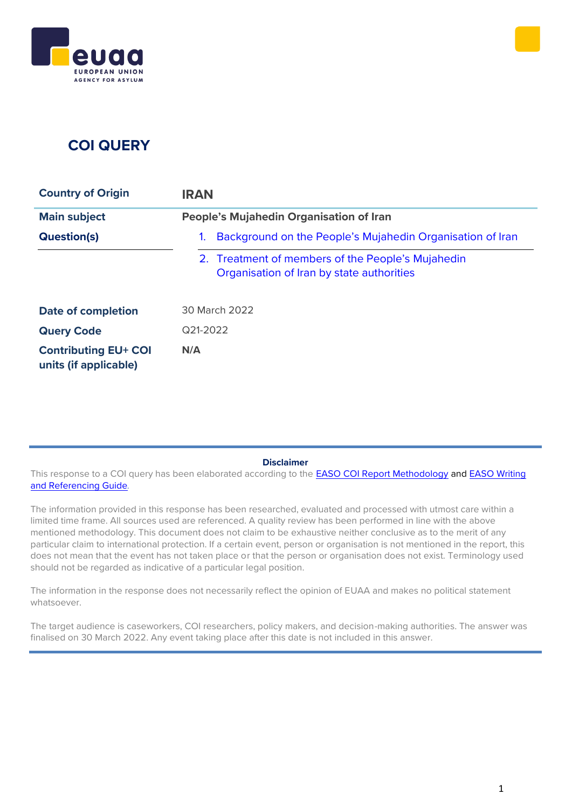

### **COI QUERY**

| <b>Country of Origin</b>                             | <b>IRAN</b>                                                                                    |
|------------------------------------------------------|------------------------------------------------------------------------------------------------|
| <b>Main subject</b>                                  | People's Mujahedin Organisation of Iran                                                        |
| <b>Question(s)</b>                                   | Background on the People's Mujahedin Organisation of Iran                                      |
|                                                      | 2. Treatment of members of the People's Mujahedin<br>Organisation of Iran by state authorities |
| <b>Date of completion</b>                            | 30 March 2022                                                                                  |
| <b>Query Code</b>                                    | $Q21-2022$                                                                                     |
| <b>Contributing EU+ COI</b><br>units (if applicable) | N/A                                                                                            |

**Disclaimer**

This response to a COI query has been elaborated according to the **[EASO COI Report Methodology](https://coi.easo.europa.eu/administration/easo/PLib/2019_EASO_COI_Report_Methodology.pdf) and EASO Writing** [and Referencing Guide](https://coi.easo.europa.eu/administration/easo/PLib/2019_EASO_COI_Writing_and_Referencing_Guide.pdf)*.* 

The information provided in this response has been researched, evaluated and processed with utmost care within a limited time frame. All sources used are referenced. A quality review has been performed in line with the above mentioned methodology. This document does not claim to be exhaustive neither conclusive as to the merit of any particular claim to international protection. If a certain event, person or organisation is not mentioned in the report, this does not mean that the event has not taken place or that the person or organisation does not exist. Terminology used should not be regarded as indicative of a particular legal position.

The information in the response does not necessarily reflect the opinion of EUAA and makes no political statement whatsoever.

The target audience is caseworkers, COI researchers, policy makers, and decision-making authorities. The answer was finalised on 30 March 2022. Any event taking place after this date is not included in this answer.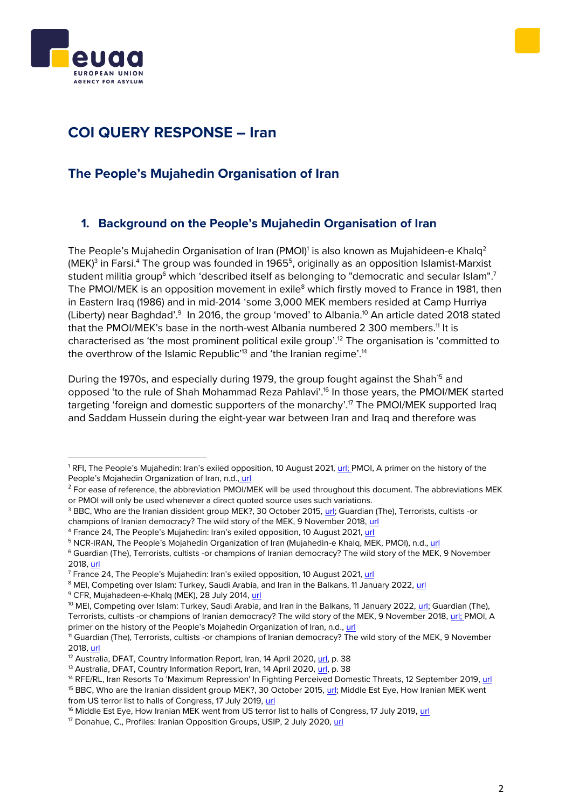



# **COI QUERY RESPONSE – Iran**

### **The People's Mujahedin Organisation of Iran**

#### <span id="page-1-0"></span>**1. Background on the People's Mujahedin Organisation of Iran**

The People's Mujahedin Organisation of Iran (PMOI)<sup>1</sup> is also known as Mujahideen-e Khalq<sup>2</sup> (MEK)<sup>3</sup> in Farsi.<sup>4</sup> The group was founded in 1965<sup>5</sup>, originally as an opposition Islamist-Marxist student militia group $^6$  which 'described itself as belonging to "democratic and secular Islam". $^7$ The PMOI/MEK is an opposition movement in exile<sup>8</sup> which firstly moved to France in 1981, then in Eastern Iraq (1986) and in mid-2014 'some 3,000 MEK members resided at Camp Hurriya (Liberty) near Baghdad'.<sup>9</sup> In 2016, the group 'moved' to Albania.<sup>10</sup> An article dated 2018 stated that the PMOI/MEK's base in the north-west Albania numbered 2 300 members.<sup>11</sup> It is characterised as 'the most prominent political exile group'.<sup>12</sup> The organisation is 'committed to the overthrow of the Islamic Republic<sup>'13</sup> and 'the Iranian regime'.<sup>14</sup>

During the 1970s, and especially during 1979, the group fought against the Shah<sup>15</sup> and opposed 'to the rule of Shah Mohammad Reza Pahlavi'.<sup>16</sup> In those years, the PMOI/MEK started targeting 'foreign and domestic supporters of the monarchy'.<sup>17</sup> The PMOI/MEK supported Irag and Saddam Hussein during the eight-year war between Iran and Iraq and therefore was

<sup>4</sup> France 24, The People's Mujahedin: Iran's exiled opposition, 10 August 2021, [url](https://www.france24.com/en/live-news/20210810-the-people-s-mujahedin-iran-s-exiled-opposition)

<sup>&</sup>lt;sup>1</sup> RFI, The People's Mujahedin: Iran's exiled opposition, 10 August 2021, [url;](https://www.rfi.fr/en/the-people-s-mujahedin-iran-s-exiled-opposition) PMOI, A primer on the history of the People's Mojahedin Organization of Iran, n.d., [url](https://english.mojahedin.org/a-primer-on-the-history-of-the-peoples-mojahedin-organization-of-iran/)

 $<sup>2</sup>$  For ease of reference, the abbreviation PMOI/MEK will be used throughout this document. The abbreviations MEK</sup> or PMOI will only be used whenever a direct quoted source uses such variations.

<sup>&</sup>lt;sup>3</sup> BBC, Who are the Iranian dissident group MEK?, 30 October 2015, [url;](https://www.bbc.com/news/world-middle-east-34677211) Guardian (The), Terrorists, cultists -or champions of Iranian democracy? The wild story of the MEK, 9 November 2018[, url](https://www.theguardian.com/news/2018/nov/09/mek-iran-revolution-regime-trump-rajavi)

<sup>5</sup> NCR-IRAN, The People's Mojahedin Organization of Iran (Mujahedin-e Khalq, MEK, PMOI), n.d., [url](https://www.ncr-iran.org/en/pmoi-mek/)

<sup>&</sup>lt;sup>6</sup> Guardian (The), Terrorists, cultists -or champions of Iranian democracy? The wild story of the MEK, 9 November 2018[, url](https://www.theguardian.com/news/2018/nov/09/mek-iran-revolution-regime-trump-rajavi)

<sup>7</sup> France 24, The People's Mujahedin: Iran's exiled opposition, 10 August 2021, [url](https://www.france24.com/en/live-news/20210810-the-people-s-mujahedin-iran-s-exiled-opposition)

<sup>8</sup> MEI, Competing over Islam: Turkey, Saudi Arabia, and Iran in the Balkans, 11 January 2022[, url](https://www.mei.edu/publications/competing-over-islam-turkey-saudi-arabia-and-iran-balkans)

<sup>&</sup>lt;sup>9</sup> CFR, Mujahadeen-e-Khalq (MEK), 28 July 2014, [url](https://www.cfr.org/backgrounder/mujahadeen-e-khalq-mek)

<sup>&</sup>lt;sup>10</sup> MEI, Competing over Islam: Turkey, Saudi Arabia, and Iran in the Balkans, 11 January 2022[, url;](https://www.mei.edu/publications/competing-over-islam-turkey-saudi-arabia-and-iran-balkans) Guardian (The), Terrorists, cultists -or champions of Iranian democracy? The wild story of the MEK, 9 November 2018, [url;](https://www.theguardian.com/news/2018/nov/09/mek-iran-revolution-regime-trump-rajavi) PMOI, A primer on the history of the People's Mojahedin Organization of Iran, n.d., [url](https://english.mojahedin.org/a-primer-on-the-history-of-the-peoples-mojahedin-organization-of-iran/)

<sup>11</sup> Guardian (The), Terrorists, cultists -or champions of Iranian democracy? The wild story of the MEK, 9 November 2018[, url](https://www.theguardian.com/news/2018/nov/09/mek-iran-revolution-regime-trump-rajavi)

<sup>&</sup>lt;sup>12</sup> Australia, DFAT, Country Information Report, Iran, 14 April 2020, [url,](https://www.dfat.gov.au/sites/default/files/country-information-report-iran.pdf) p. 38

<sup>&</sup>lt;sup>13</sup> Australia, DFAT, Country Information Report, Iran, 14 April 2020[, url,](https://www.dfat.gov.au/sites/default/files/country-information-report-iran.pdf) p. 38

<sup>&</sup>lt;sup>14</sup> RFE/RL, Iran Resorts To 'Maximum Repression' In Fighting Perceived Domestic Threats, 12 September 2019[, url](https://www.rferl.org/a/iran-resorts-to-maximum-repression-in-fighting-perceived-domestic-threats/30161191.html) <sup>15</sup> BBC, Who are the Iranian dissident group MEK?, 30 October 2015, [url;](https://www.bbc.com/news/world-middle-east-34677211) Middle Est Eye, How Iranian MEK went from US terror list to halls of Congress, 17 July 2019, [url](https://www.middleeasteye.net/big-story/Iranian-MEK-US-terror-list-halls-congress-PMOI-Iran)

<sup>&</sup>lt;sup>16</sup> Middle Est Eye, How Iranian MEK went from US terror list to halls of Congress, 17 July 2019, [url](https://www.middleeasteye.net/big-story/Iranian-MEK-US-terror-list-halls-congress-PMOI-Iran)

<sup>&</sup>lt;sup>17</sup> Donahue, C., Profiles: Iranian Opposition Groups, USIP, 2 July 2020[, url](https://iranprimer.usip.org/blog/2020/jul/02/profiles-iranian-opposition-groups)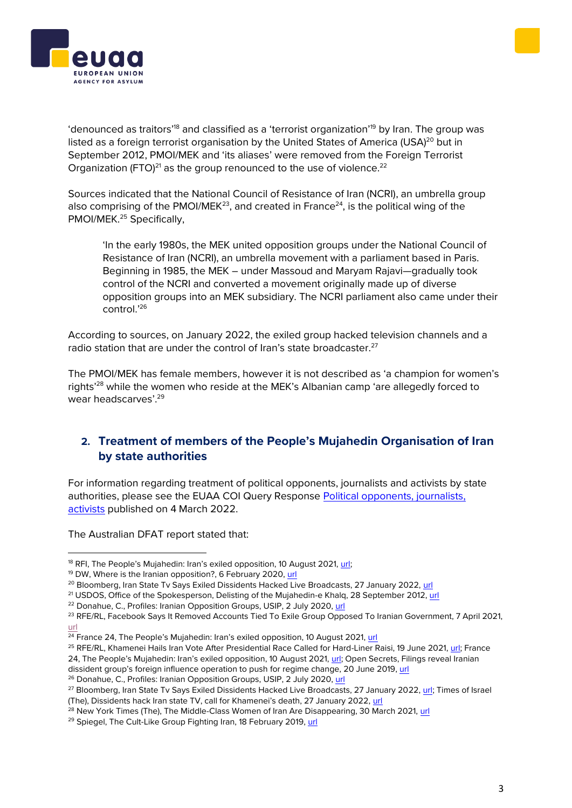'denounced as traitors<sup>18</sup> and classified as a 'terrorist organization'<sup>19</sup> by Iran. The group was listed as a foreign terrorist organisation by the United States of America (USA)<sup>20</sup> but in September 2012, PMOI/MEK and 'its aliases' were removed from the Foreign Terrorist Organization (FTO) $^{21}$  as the group renounced to the use of violence. $^{22}$ 

Sources indicated that the National Council of Resistance of Iran (NCRI), an umbrella group also comprising of the PMOI/MEK<sup>23</sup>, and created in France<sup>24</sup>, is the political wing of the PMOI/MEK. <sup>25</sup> Specifically,

'In the early 1980s, the MEK united opposition groups under the National Council of Resistance of Iran (NCRI), an umbrella movement with a parliament based in Paris. Beginning in 1985, the MEK – under Massoud and Maryam Rajavi—gradually took control of the NCRI and converted a movement originally made up of diverse opposition groups into an MEK subsidiary. The NCRI parliament also came under their control.'<sup>26</sup>

According to sources, on January 2022, the exiled group hacked television channels and a radio station that are under the control of Iran's state broadcaster.<sup>27</sup>

The PMOI/MEK has female members, however it is not described as 'a champion for women's rights'<sup>28</sup> while the women who reside at the MEK's Albanian camp 'are allegedly forced to wear headscarves'.<sup>29</sup>

#### <span id="page-2-0"></span>**2. Treatment of members of the People's Mujahedin Organisation of Iran by state authorities**

For information regarding treatment of political opponents, journalists and activists by state authorities, please see the EUAA COI Query Response [Political opponents, journalists,](https://coi.euaa.europa.eu/administration/easo/PLib/2022_03_Q11_EUAA_COI_Query_Response_Iran_Treatment_of_opponents.pdf)  [activists](https://coi.euaa.europa.eu/administration/easo/PLib/2022_03_Q11_EUAA_COI_Query_Response_Iran_Treatment_of_opponents.pdf) published on 4 March 2022.

The Australian DFAT report stated that:

<sup>25</sup> RFE/RL, Khamenei Hails Iran Vote After Presidential Race Called for Hard-Liner Raisi, 19 June 2021, [url;](https://www.rferl.org/a/iran-raisi-election-rivals-concede/31315773.html) France 24, The People's Mujahedin: Iran's exiled opposition, 10 August 2021, [url;](https://www.france24.com/en/live-news/20210810-the-people-s-mujahedin-iran-s-exiled-opposition) Open Secrets, Filings reveal Iranian





<sup>&</sup>lt;sup>18</sup> RFI, The People's Mujahedin: Iran's exiled opposition, 10 August 2021, url;

<sup>19</sup> DW, Where is the Iranian opposition?, 6 February 2020, [url](https://www.dw.com/en/where-is-the-iranian-opposition/a-52277400)

<sup>&</sup>lt;sup>20</sup> Bloomberg, Iran State Tv Says Exiled Dissidents Hacked Live Broadcasts, 27 January 2022[, url](https://www.bloomberg.com/news/articles/2022-01-27/iran-state-tv-says-exiled-dissidents-briefly-hacked-broadcasts)

<sup>&</sup>lt;sup>21</sup> USDOS, Office of the Spokesperson, Delisting of the Mujahedin-e Khalq, 28 September 2012, [url](https://2009-2017.state.gov/r/pa/prs/ps/2012/09/198443.htm)

<sup>&</sup>lt;sup>22</sup> Donahue, C., Profiles: Iranian Opposition Groups, USIP, 2 July 2020, [url](https://iranprimer.usip.org/blog/2020/jul/02/profiles-iranian-opposition-groups)

<sup>&</sup>lt;sup>23</sup> RFE/RL, Facebook Says It Removed Accounts Tied To Exile Group Opposed To Iranian Government, 7 April 2021, [url](https://www.rferl.org/a/iran-facebook-mek-fake-accounts-removed/31190764.html)

 $\frac{1}{24}$  France 24, The People's Mujahedin: Iran's exiled opposition, 10 August 2021, *[url](https://www.france24.com/en/live-news/20210810-the-people-s-mujahedin-iran-s-exiled-opposition)* 

dissident group's foreign influence operation to push for regime change, 20 June 2019, [url](https://www.opensecrets.org/news/2019/06/filings-reveal-iranian-dissident-groups-foreign-influence-operation-to-push-for-regime-change/)

<sup>&</sup>lt;sup>26</sup> Donahue, C., Profiles: Iranian Opposition Groups, USIP, 2 July 2020, [url](https://iranprimer.usip.org/blog/2020/jul/02/profiles-iranian-opposition-groups)

<sup>&</sup>lt;sup>27</sup> Bloomberg, Iran State Tv Says Exiled Dissidents Hacked Live Broadcasts, 27 January 2022[, url;](https://www.bloomberg.com/news/articles/2022-01-27/iran-state-tv-says-exiled-dissidents-briefly-hacked-broadcasts) Times of Israel (The), Dissidents hack Iran state TV, call for Khamenei's death, 27 January 2022, [url](https://www.timesofisrael.com/dissidents-hack-iran-state-tv-broadcast-call-for-khameneis-death/)

<sup>&</sup>lt;sup>28</sup> New York Times (The), The Middle-Class Women of Iran Are Disappearing, 30 March 2021[, url](https://www.nytimes.com/2021/03/27/opinion/sunday/iran-sanctions-women.html)

<sup>&</sup>lt;sup>29</sup> Spiegel, The Cult-Like Group Fighting Iran, 18 February 2019[, url](https://www.spiegel.de/international/world/people-s-mujahedin-and-its-quiet-war-against-iran-a-1253507.html)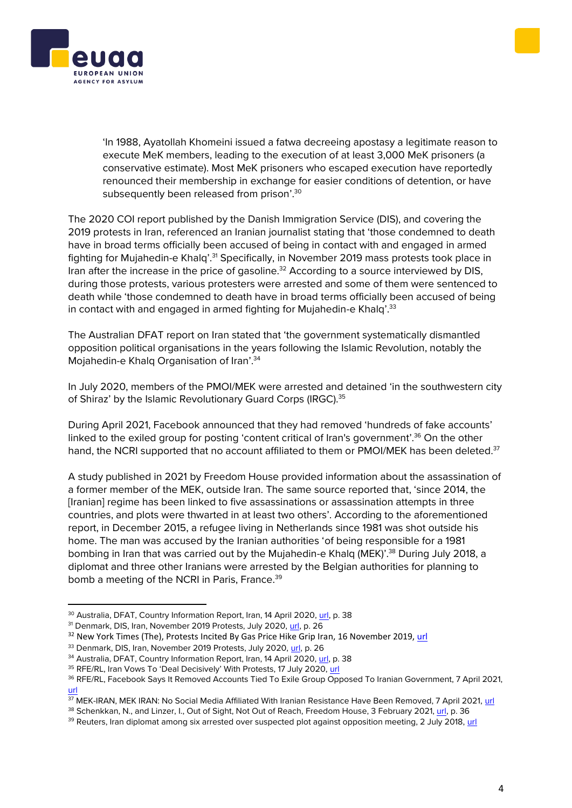



'In 1988, Ayatollah Khomeini issued a fatwa decreeing apostasy a legitimate reason to execute MeK members, leading to the execution of at least 3,000 MeK prisoners (a conservative estimate). Most MeK prisoners who escaped execution have reportedly renounced their membership in exchange for easier conditions of detention, or have subsequently been released from prison'.<sup>30</sup>

The 2020 COI report published by the Danish Immigration Service (DIS), and covering the 2019 protests in Iran, referenced an Iranian journalist stating that 'those condemned to death have in broad terms officially been accused of being in contact with and engaged in armed fighting for Mujahedin-e Khalq'.<sup>31</sup> Specifically, in November 2019 mass protests took place in Iran after the increase in the price of gasoline.<sup>32</sup> According to a source interviewed by DIS, during those protests, various protesters were arrested and some of them were sentenced to death while 'those condemned to death have in broad terms officially been accused of being in contact with and engaged in armed fighting for Mujahedin-e Khalq'.<sup>33</sup>

The Australian DFAT report on Iran stated that 'the government systematically dismantled opposition political organisations in the years following the Islamic Revolution, notably the Mojahedin-e Khalq Organisation of Iran'.<sup>34</sup>

In July 2020, members of the PMOI/MEK were arrested and detained 'in the southwestern city of Shiraz' by the Islamic Revolutionary Guard Corps (IRGC).<sup>35</sup>

During April 2021, Facebook announced that they had removed 'hundreds of fake accounts' linked to the exiled group for posting 'content critical of Iran's government'.<sup>36</sup> On the other hand, the NCRI supported that no account affiliated to them or PMOI/MEK has been deleted.<sup>37</sup>

A study published in 2021 by Freedom House provided information about the assassination of a former member of the MEK, outside Iran. The same source reported that, 'since 2014, the [Iranian] regime has been linked to five assassinations or assassination attempts in three countries, and plots were thwarted in at least two others'. According to the aforementioned report, in December 2015, a refugee living in Netherlands since 1981 was shot outside his home. The man was accused by the Iranian authorities 'of being responsible for a 1981 bombing in Iran that was carried out by the Mujahedin-e Khalq (MEK)'.<sup>38</sup> During July 2018, a diplomat and three other Iranians were arrested by the Belgian authorities for planning to bomb a meeting of the NCRI in Paris, France.<sup>39</sup>

<sup>30</sup> Australia, DFAT, Country Information Report, Iran, 14 April 2020, [url,](https://www.dfat.gov.au/sites/default/files/country-information-report-iran.pdf) p. 38

<sup>&</sup>lt;sup>31</sup> Denmark, DIS, Iran, November 2019 Protests, July 2020[, url,](https://www.nyidanmark.dk/-/media/Files/US/Landenotater/COI_brief_report_iran_nov_2019_protest_july_2020.pdf?la=en-GB&hash=D903D38A92F9AF9626A35F2CF6DD16A744BF81FB) p. 26

<sup>&</sup>lt;sup>32</sup> New York Times (The), Protests Incited By Gas Price Hike Grip Iran, 16 November 2019, [url](https://www.nytimes.com/2019/11/16/world/middleeast/iran-gas-price.html)

<sup>33</sup> Denmark, DIS, Iran, November 2019 Protests, July 2020, [url,](https://www.nyidanmark.dk/-/media/Files/US/Landenotater/COI_brief_report_iran_nov_2019_protest_july_2020.pdf?la=en-GB&hash=D903D38A92F9AF9626A35F2CF6DD16A744BF81FB) p. 26

<sup>&</sup>lt;sup>34</sup> Australia, DFAT, Country Information Report, Iran, 14 April 2020, [url,](https://www.dfat.gov.au/sites/default/files/country-information-report-iran.pdf) p. 38

<sup>&</sup>lt;sup>35</sup> RFE/RL, Iran Vows To 'Deal Decisively' With Protests, 17 July 2020, [url](https://www.rferl.org/a/iran-vows-to-deal-decisively-with-protests/30733815.html)

<sup>&</sup>lt;sup>36</sup> RFE/RL, Facebook Says It Removed Accounts Tied To Exile Group Opposed To Iranian Government, 7 April 2021, [url](https://www.rferl.org/a/iran-facebook-mek-fake-accounts-removed/31190764.html)

<sup>37</sup> MEK-IRAN, MEK IRAN: No Social Media Affiliated With Iranian Resistance Have Been Removed, 7 April 2021[, url](https://mek-iran.com/2021/04/07/mek-iran-no-social-media-affiliated-with-iranian-resistance-have-been-removed/)

<sup>38</sup> Schenkkan, N., and Linzer, I., Out of Sight, Not Out of Reach, Freedom House, 3 February 2021[, url,](https://freedomhouse.org/sites/default/files/2021-02/Complete_FH_TransnationalRepressionReport2021_rev020221.pdf) p. 36

<sup>&</sup>lt;sup>39</sup> Reuters, Iran diplomat among six arrested over suspected plot against opposition meeting, 2 July 2018, [url](https://www.reuters.com/article/us-europe-attacks-belgium-iran-idUSKBN1JS1C3)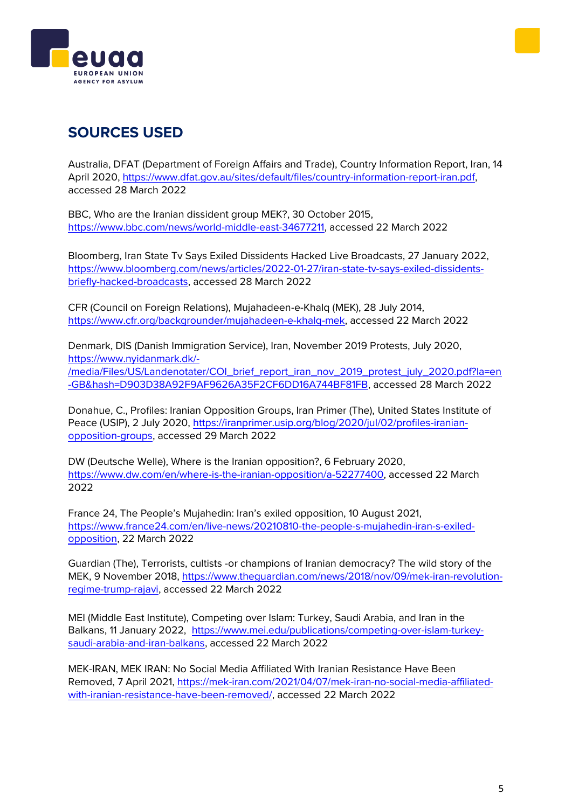



# **SOURCES USED**

Australia, DFAT (Department of Foreign Affairs and Trade), Country Information Report, Iran, 14 April 2020, [https://www.dfat.gov.au/sites/default/files/country-information-report-iran.pdf,](https://www.dfat.gov.au/sites/default/files/country-information-report-iran.pdf) accessed 28 March 2022

BBC, Who are the Iranian dissident group MEK?, 30 October 2015, [https://www.bbc.com/news/world-middle-east-34677211,](https://www.bbc.com/news/world-middle-east-34677211) accessed 22 March 2022

Bloomberg, Iran State Tv Says Exiled Dissidents Hacked Live Broadcasts, 27 January 2022, [https://www.bloomberg.com/news/articles/2022-01-27/iran-state-tv-says-exiled-dissidents](https://www.bloomberg.com/news/articles/2022-01-27/iran-state-tv-says-exiled-dissidents-briefly-hacked-broadcasts)[briefly-hacked-broadcasts,](https://www.bloomberg.com/news/articles/2022-01-27/iran-state-tv-says-exiled-dissidents-briefly-hacked-broadcasts) accessed 28 March 2022

CFR (Council on Foreign Relations), Mujahadeen-e-Khalq (MEK), 28 July 2014, [https://www.cfr.org/backgrounder/mujahadeen-e-khalq-mek,](https://www.cfr.org/backgrounder/mujahadeen-e-khalq-mek) accessed 22 March 2022

Denmark, DIS (Danish Immigration Service), Iran, November 2019 Protests, July 2020, [https://www.nyidanmark.dk/-](https://www.nyidanmark.dk/-/media/Files/US/Landenotater/COI_brief_report_iran_nov_2019_protest_july_2020.pdf?la=en-GB&hash=D903D38A92F9AF9626A35F2CF6DD16A744BF81FB) [/media/Files/US/Landenotater/COI\\_brief\\_report\\_iran\\_nov\\_2019\\_protest\\_july\\_2020.pdf?la=en](https://www.nyidanmark.dk/-/media/Files/US/Landenotater/COI_brief_report_iran_nov_2019_protest_july_2020.pdf?la=en-GB&hash=D903D38A92F9AF9626A35F2CF6DD16A744BF81FB) [-GB&hash=D903D38A92F9AF9626A35F2CF6DD16A744BF81FB,](https://www.nyidanmark.dk/-/media/Files/US/Landenotater/COI_brief_report_iran_nov_2019_protest_july_2020.pdf?la=en-GB&hash=D903D38A92F9AF9626A35F2CF6DD16A744BF81FB) accessed 28 March 2022

Donahue, C., Profiles: Iranian Opposition Groups, Iran Primer (The), United States Institute of Peace (USIP), 2 July 2020, [https://iranprimer.usip.org/blog/2020/jul/02/profiles-iranian](https://iranprimer.usip.org/blog/2020/jul/02/profiles-iranian-opposition-groups)[opposition-groups,](https://iranprimer.usip.org/blog/2020/jul/02/profiles-iranian-opposition-groups) accessed 29 March 2022

DW (Deutsche Welle), Where is the Iranian opposition?, 6 February 2020, [https://www.dw.com/en/where-is-the-iranian-opposition/a-52277400,](https://www.dw.com/en/where-is-the-iranian-opposition/a-52277400) accessed 22 March 2022

France 24, The People's Mujahedin: Iran's exiled opposition, 10 August 2021, [https://www.france24.com/en/live-news/20210810-the-people-s-mujahedin-iran-s-exiled](https://www.france24.com/en/live-news/20210810-the-people-s-mujahedin-iran-s-exiled-opposition)[opposition,](https://www.france24.com/en/live-news/20210810-the-people-s-mujahedin-iran-s-exiled-opposition) 22 March 2022

Guardian (The), Terrorists, cultists -or champions of Iranian democracy? The wild story of the MEK, 9 November 2018, [https://www.theguardian.com/news/2018/nov/09/mek-iran-revolution](https://www.theguardian.com/news/2018/nov/09/mek-iran-revolution-regime-trump-rajavi)[regime-trump-rajavi,](https://www.theguardian.com/news/2018/nov/09/mek-iran-revolution-regime-trump-rajavi) accessed 22 March 2022

MEI (Middle East Institute), Competing over Islam: Turkey, Saudi Arabia, and Iran in the Balkans, 11 January 2022, [https://www.mei.edu/publications/competing-over-islam-turkey](https://www.mei.edu/publications/competing-over-islam-turkey-saudi-arabia-and-iran-balkans)[saudi-arabia-and-iran-balkans,](https://www.mei.edu/publications/competing-over-islam-turkey-saudi-arabia-and-iran-balkans) accessed 22 March 2022

MEK-IRAN, MEK IRAN: No Social Media Affiliated With Iranian Resistance Have Been Removed, 7 April 2021, [https://mek-iran.com/2021/04/07/mek-iran-no-social-media-affiliated](https://mek-iran.com/2021/04/07/mek-iran-no-social-media-affiliated-with-iranian-resistance-have-been-removed/)[with-iranian-resistance-have-been-removed/,](https://mek-iran.com/2021/04/07/mek-iran-no-social-media-affiliated-with-iranian-resistance-have-been-removed/) accessed 22 March 2022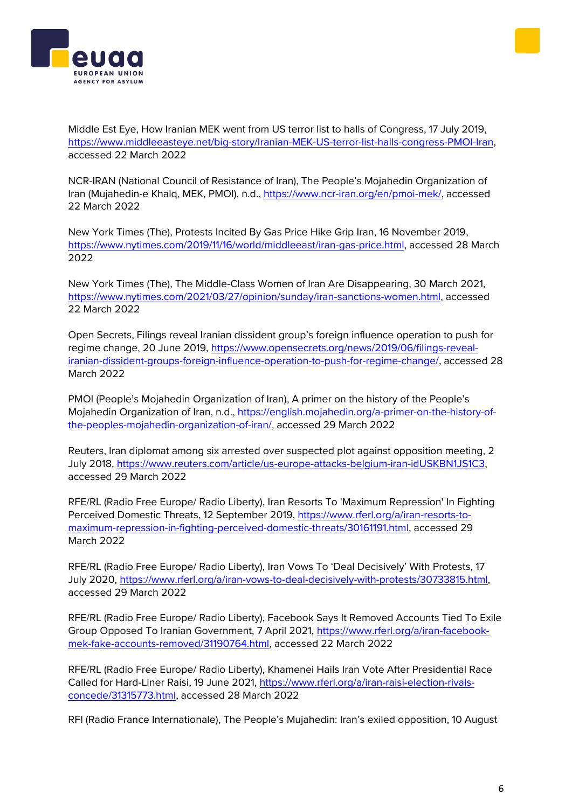



Middle Est Eye, How Iranian MEK went from US terror list to halls of Congress, 17 July 2019, [https://www.middleeasteye.net/big-story/Iranian-MEK-US-terror-list-halls-congress-PMOI-Iran,](https://www.middleeasteye.net/big-story/Iranian-MEK-US-terror-list-halls-congress-PMOI-Iran) accessed 22 March 2022

NCR-IRAN (National Council of Resistance of Iran), The People's Mojahedin Organization of Iran (Mujahedin-e Khalq, MEK, PMOI), n.d., [https://www.ncr-iran.org/en/pmoi-mek/,](https://www.ncr-iran.org/en/pmoi-mek/) accessed 22 March 2022

New York Times (The), Protests Incited By Gas Price Hike Grip Iran, 16 November 2019, [https://www.nytimes.com/2019/11/16/world/middleeast/iran-gas-price.html,](https://www.nytimes.com/2019/11/16/world/middleeast/iran-gas-price.html) accessed 28 March 2022

New York Times (The), The Middle-Class Women of Iran Are Disappearing, 30 March 2021, [https://www.nytimes.com/2021/03/27/opinion/sunday/iran-sanctions-women.html,](https://www.nytimes.com/2021/03/27/opinion/sunday/iran-sanctions-women.html) accessed 22 March 2022

Open Secrets, Filings reveal Iranian dissident group's foreign influence operation to push for regime change, 20 June 2019, [https://www.opensecrets.org/news/2019/06/filings-reveal](https://www.opensecrets.org/news/2019/06/filings-reveal-iranian-dissident-groups-foreign-influence-operation-to-push-for-regime-change/)[iranian-dissident-groups-foreign-influence-operation-to-push-for-regime-change/,](https://www.opensecrets.org/news/2019/06/filings-reveal-iranian-dissident-groups-foreign-influence-operation-to-push-for-regime-change/) accessed 28 March 2022

PMOI (People's Mojahedin Organization of Iran), A primer on the history of the People's Mojahedin Organization of Iran, n.d., [https://english.mojahedin.org/a-primer-on-the-history-of](https://english.mojahedin.org/a-primer-on-the-history-of-the-peoples-mojahedin-organization-of-iran/)[the-peoples-mojahedin-organization-of-iran/,](https://english.mojahedin.org/a-primer-on-the-history-of-the-peoples-mojahedin-organization-of-iran/) accessed 29 March 2022

Reuters, Iran diplomat among six arrested over suspected plot against opposition meeting, 2 July 2018, [https://www.reuters.com/article/us-europe-attacks-belgium-iran-idUSKBN1JS1C3,](https://www.reuters.com/article/us-europe-attacks-belgium-iran-idUSKBN1JS1C3) accessed 29 March 2022

RFE/RL (Radio Free Europe/ Radio Liberty), Iran Resorts To 'Maximum Repression' In Fighting Perceived Domestic Threats, 12 September 2019, [https://www.rferl.org/a/iran-resorts-to](https://www.rferl.org/a/iran-resorts-to-maximum-repression-in-fighting-perceived-domestic-threats/30161191.html)[maximum-repression-in-fighting-perceived-domestic-threats/30161191.html,](https://www.rferl.org/a/iran-resorts-to-maximum-repression-in-fighting-perceived-domestic-threats/30161191.html) accessed 29 March 2022

RFE/RL (Radio Free Europe/ Radio Liberty), Iran Vows To 'Deal Decisively' With Protests, 17 July 2020, [https://www.rferl.org/a/iran-vows-to-deal-decisively-with-protests/30733815.html,](https://www.rferl.org/a/iran-vows-to-deal-decisively-with-protests/30733815.html) accessed 29 March 2022

RFE/RL (Radio Free Europe/ Radio Liberty), Facebook Says It Removed Accounts Tied To Exile Group Opposed To Iranian Government, 7 April 2021, [https://www.rferl.org/a/iran-facebook](https://www.rferl.org/a/iran-facebook-mek-fake-accounts-removed/31190764.html)[mek-fake-accounts-removed/31190764.html,](https://www.rferl.org/a/iran-facebook-mek-fake-accounts-removed/31190764.html) accessed 22 March 2022

RFE/RL (Radio Free Europe/ Radio Liberty), Khamenei Hails Iran Vote After Presidential Race Called for Hard-Liner Raisi, 19 June 2021, [https://www.rferl.org/a/iran-raisi-election-rivals](https://www.rferl.org/a/iran-raisi-election-rivals-concede/31315773.html)[concede/31315773.html,](https://www.rferl.org/a/iran-raisi-election-rivals-concede/31315773.html) accessed 28 March 2022

RFI (Radio France Internationale), The People's Mujahedin: Iran's exiled opposition, 10 August